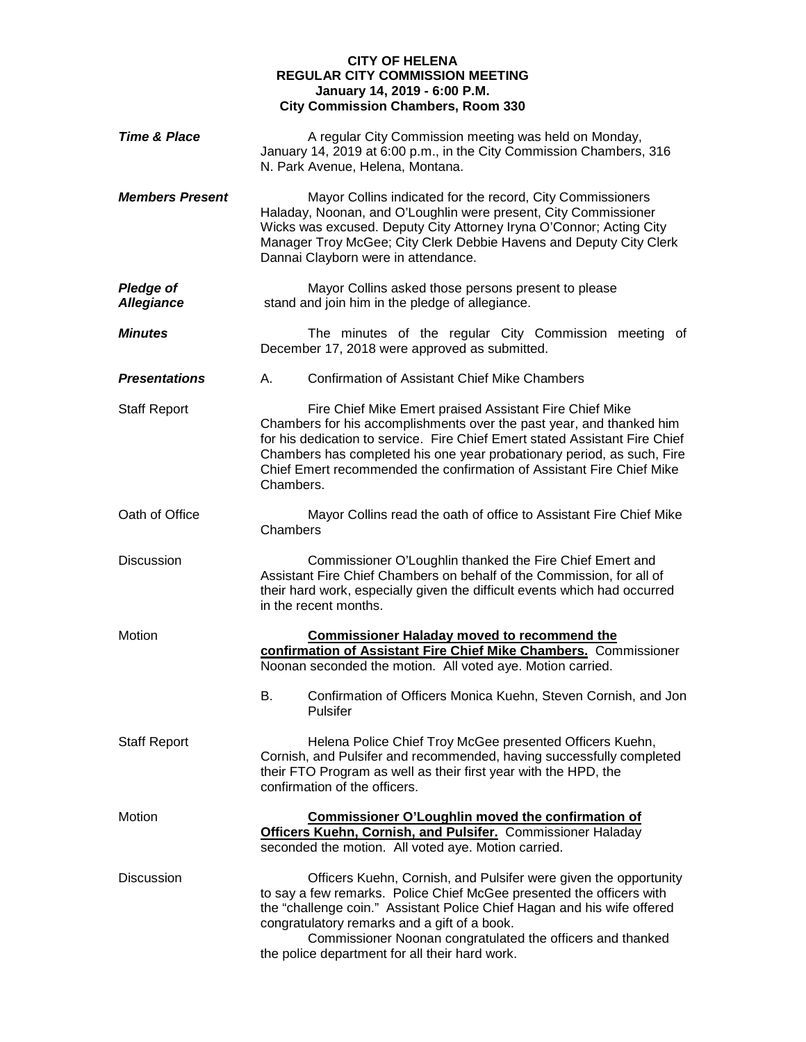## **CITY OF HELENA REGULAR CITY COMMISSION MEETING January 14, 2019 - 6:00 P.M. City Commission Chambers, Room 330**

| <b>Time &amp; Place</b>               | A regular City Commission meeting was held on Monday,<br>January 14, 2019 at 6:00 p.m., in the City Commission Chambers, 316<br>N. Park Avenue, Helena, Montana.                                                                                                                                                                                                                    |  |
|---------------------------------------|-------------------------------------------------------------------------------------------------------------------------------------------------------------------------------------------------------------------------------------------------------------------------------------------------------------------------------------------------------------------------------------|--|
| <b>Members Present</b>                | Mayor Collins indicated for the record, City Commissioners<br>Haladay, Noonan, and O'Loughlin were present, City Commissioner<br>Wicks was excused. Deputy City Attorney Iryna O'Connor; Acting City<br>Manager Troy McGee; City Clerk Debbie Havens and Deputy City Clerk<br>Dannai Clayborn were in attendance.                                                                   |  |
| <b>Pledge of</b><br><b>Allegiance</b> | Mayor Collins asked those persons present to please<br>stand and join him in the pledge of allegiance.                                                                                                                                                                                                                                                                              |  |
| <b>Minutes</b>                        | The minutes of the regular City Commission meeting of<br>December 17, 2018 were approved as submitted.                                                                                                                                                                                                                                                                              |  |
| <b>Presentations</b>                  | <b>Confirmation of Assistant Chief Mike Chambers</b><br>А.                                                                                                                                                                                                                                                                                                                          |  |
| <b>Staff Report</b>                   | Fire Chief Mike Emert praised Assistant Fire Chief Mike<br>Chambers for his accomplishments over the past year, and thanked him<br>for his dedication to service. Fire Chief Emert stated Assistant Fire Chief<br>Chambers has completed his one year probationary period, as such, Fire<br>Chief Emert recommended the confirmation of Assistant Fire Chief Mike<br>Chambers.      |  |
| Oath of Office                        | Mayor Collins read the oath of office to Assistant Fire Chief Mike<br>Chambers                                                                                                                                                                                                                                                                                                      |  |
| <b>Discussion</b>                     | Commissioner O'Loughlin thanked the Fire Chief Emert and<br>Assistant Fire Chief Chambers on behalf of the Commission, for all of<br>their hard work, especially given the difficult events which had occurred<br>in the recent months.                                                                                                                                             |  |
| Motion                                | <b>Commissioner Haladay moved to recommend the</b><br>confirmation of Assistant Fire Chief Mike Chambers. Commissioner<br>Noonan seconded the motion. All voted aye. Motion carried.                                                                                                                                                                                                |  |
|                                       | В.<br>Confirmation of Officers Monica Kuehn, Steven Cornish, and Jon<br>Pulsifer                                                                                                                                                                                                                                                                                                    |  |
| <b>Staff Report</b>                   | Helena Police Chief Troy McGee presented Officers Kuehn,<br>Cornish, and Pulsifer and recommended, having successfully completed<br>their FTO Program as well as their first year with the HPD, the<br>confirmation of the officers.                                                                                                                                                |  |
| <b>Motion</b>                         | <b>Commissioner O'Loughlin moved the confirmation of</b><br>Officers Kuehn, Cornish, and Pulsifer. Commissioner Haladay<br>seconded the motion. All voted aye. Motion carried.                                                                                                                                                                                                      |  |
| Discussion                            | Officers Kuehn, Cornish, and Pulsifer were given the opportunity<br>to say a few remarks. Police Chief McGee presented the officers with<br>the "challenge coin." Assistant Police Chief Hagan and his wife offered<br>congratulatory remarks and a gift of a book.<br>Commissioner Noonan congratulated the officers and thanked<br>the police department for all their hard work. |  |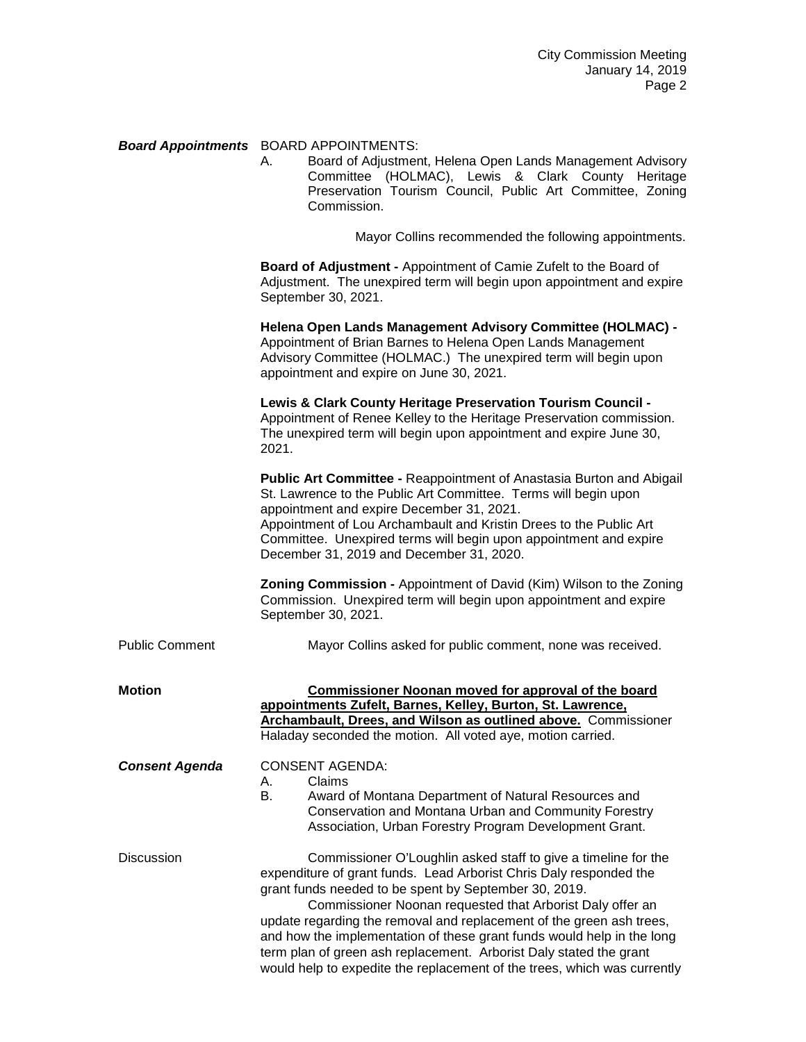## *Board Appointments* BOARD APPOINTMENTS:

Board of Adjustment, Helena Open Lands Management Advisory Committee (HOLMAC), Lewis & Clark County Heritage Preservation Tourism Council, Public Art Committee, Zoning Commission.

Mayor Collins recommended the following appointments.

**Board of Adjustment -** Appointment of Camie Zufelt to the Board of Adjustment. The unexpired term will begin upon appointment and expire September 30, 2021.

|                       | Helena Open Lands Management Advisory Committee (HOLMAC) -<br>Appointment of Brian Barnes to Helena Open Lands Management<br>Advisory Committee (HOLMAC.) The unexpired term will begin upon<br>appointment and expire on June 30, 2021.                                                                                                                                                                                                                                                                                                                       |
|-----------------------|----------------------------------------------------------------------------------------------------------------------------------------------------------------------------------------------------------------------------------------------------------------------------------------------------------------------------------------------------------------------------------------------------------------------------------------------------------------------------------------------------------------------------------------------------------------|
|                       | Lewis & Clark County Heritage Preservation Tourism Council -<br>Appointment of Renee Kelley to the Heritage Preservation commission.<br>The unexpired term will begin upon appointment and expire June 30,<br>2021.                                                                                                                                                                                                                                                                                                                                            |
|                       | Public Art Committee - Reappointment of Anastasia Burton and Abigail<br>St. Lawrence to the Public Art Committee. Terms will begin upon<br>appointment and expire December 31, 2021.<br>Appointment of Lou Archambault and Kristin Drees to the Public Art<br>Committee. Unexpired terms will begin upon appointment and expire<br>December 31, 2019 and December 31, 2020.                                                                                                                                                                                    |
|                       | Zoning Commission - Appointment of David (Kim) Wilson to the Zoning<br>Commission. Unexpired term will begin upon appointment and expire<br>September 30, 2021.                                                                                                                                                                                                                                                                                                                                                                                                |
| Public Comment        | Mayor Collins asked for public comment, none was received.                                                                                                                                                                                                                                                                                                                                                                                                                                                                                                     |
| Motion                | <b>Commissioner Noonan moved for approval of the board</b><br>appointments Zufelt, Barnes, Kelley, Burton, St. Lawrence,<br>Archambault, Drees, and Wilson as outlined above. Commissioner<br>Haladay seconded the motion. All voted aye, motion carried.                                                                                                                                                                                                                                                                                                      |
| <b>Consent Agenda</b> | <b>CONSENT AGENDA:</b><br>Claims<br>А.<br>В.<br>Award of Montana Department of Natural Resources and<br>Conservation and Montana Urban and Community Forestry<br>Association, Urban Forestry Program Development Grant.                                                                                                                                                                                                                                                                                                                                        |
| Discussion            | Commissioner O'Loughlin asked staff to give a timeline for the<br>expenditure of grant funds. Lead Arborist Chris Daly responded the<br>grant funds needed to be spent by September 30, 2019.<br>Commissioner Noonan requested that Arborist Daly offer an<br>update regarding the removal and replacement of the green ash trees,<br>and how the implementation of these grant funds would help in the long<br>term plan of green ash replacement. Arborist Daly stated the grant<br>would help to expedite the replacement of the trees, which was currently |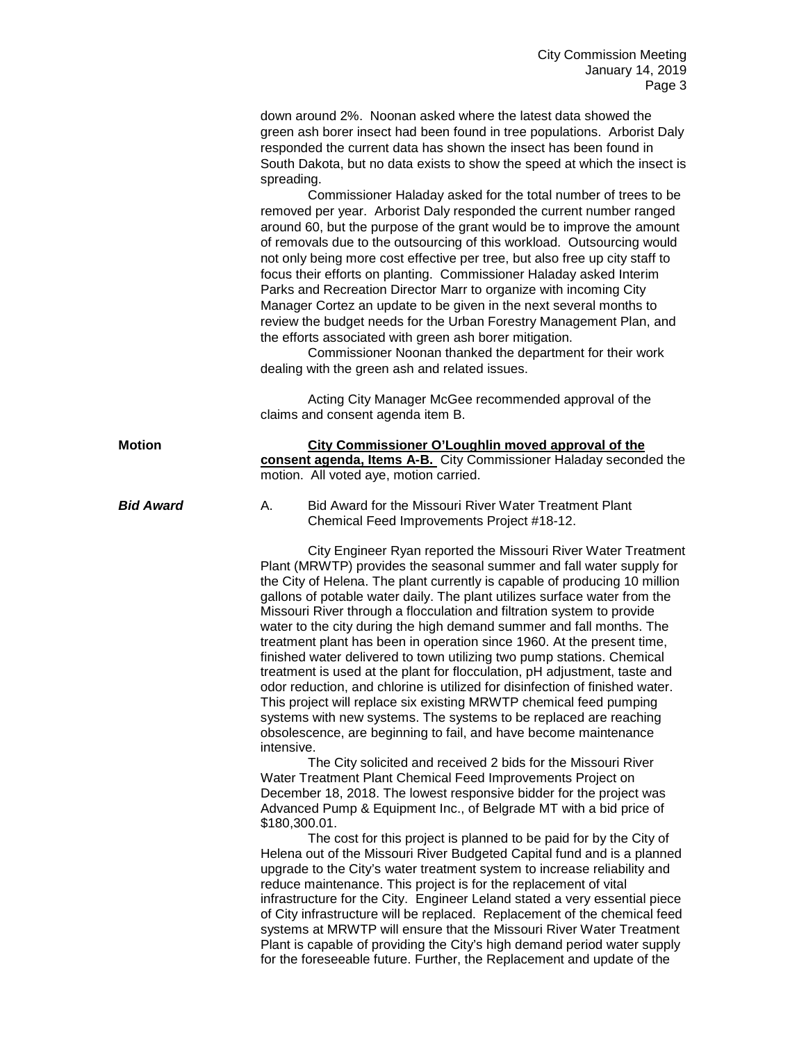down around 2%. Noonan asked where the latest data showed the green ash borer insect had been found in tree populations. Arborist Daly responded the current data has shown the insect has been found in South Dakota, but no data exists to show the speed at which the insect is spreading.

Commissioner Haladay asked for the total number of trees to be removed per year. Arborist Daly responded the current number ranged around 60, but the purpose of the grant would be to improve the amount of removals due to the outsourcing of this workload. Outsourcing would not only being more cost effective per tree, but also free up city staff to focus their efforts on planting. Commissioner Haladay asked Interim Parks and Recreation Director Marr to organize with incoming City Manager Cortez an update to be given in the next several months to review the budget needs for the Urban Forestry Management Plan, and the efforts associated with green ash borer mitigation.

Commissioner Noonan thanked the department for their work dealing with the green ash and related issues.

Acting City Manager McGee recommended approval of the claims and consent agenda item B.

| <b>Motion</b> | City Commissioner O'Loughlin moved approval of the                |  |
|---------------|-------------------------------------------------------------------|--|
|               | consent agenda, Items A-B. City Commissioner Haladay seconded the |  |
|               | motion. All voted aye, motion carried.                            |  |
|               |                                                                   |  |

## **Bid Award A.** Bid Award for the Missouri River Water Treatment Plant Chemical Feed Improvements Project #18-12.

City Engineer Ryan reported the Missouri River Water Treatment Plant (MRWTP) provides the seasonal summer and fall water supply for the City of Helena. The plant currently is capable of producing 10 million gallons of potable water daily. The plant utilizes surface water from the Missouri River through a flocculation and filtration system to provide water to the city during the high demand summer and fall months. The treatment plant has been in operation since 1960. At the present time, finished water delivered to town utilizing two pump stations. Chemical treatment is used at the plant for flocculation, pH adjustment, taste and odor reduction, and chlorine is utilized for disinfection of finished water. This project will replace six existing MRWTP chemical feed pumping systems with new systems. The systems to be replaced are reaching obsolescence, are beginning to fail, and have become maintenance intensive.

The City solicited and received 2 bids for the Missouri River Water Treatment Plant Chemical Feed Improvements Project on December 18, 2018. The lowest responsive bidder for the project was Advanced Pump & Equipment Inc., of Belgrade MT with a bid price of \$180,300.01.

The cost for this project is planned to be paid for by the City of Helena out of the Missouri River Budgeted Capital fund and is a planned upgrade to the City's water treatment system to increase reliability and reduce maintenance. This project is for the replacement of vital infrastructure for the City. Engineer Leland stated a very essential piece of City infrastructure will be replaced. Replacement of the chemical feed systems at MRWTP will ensure that the Missouri River Water Treatment Plant is capable of providing the City's high demand period water supply for the foreseeable future. Further, the Replacement and update of the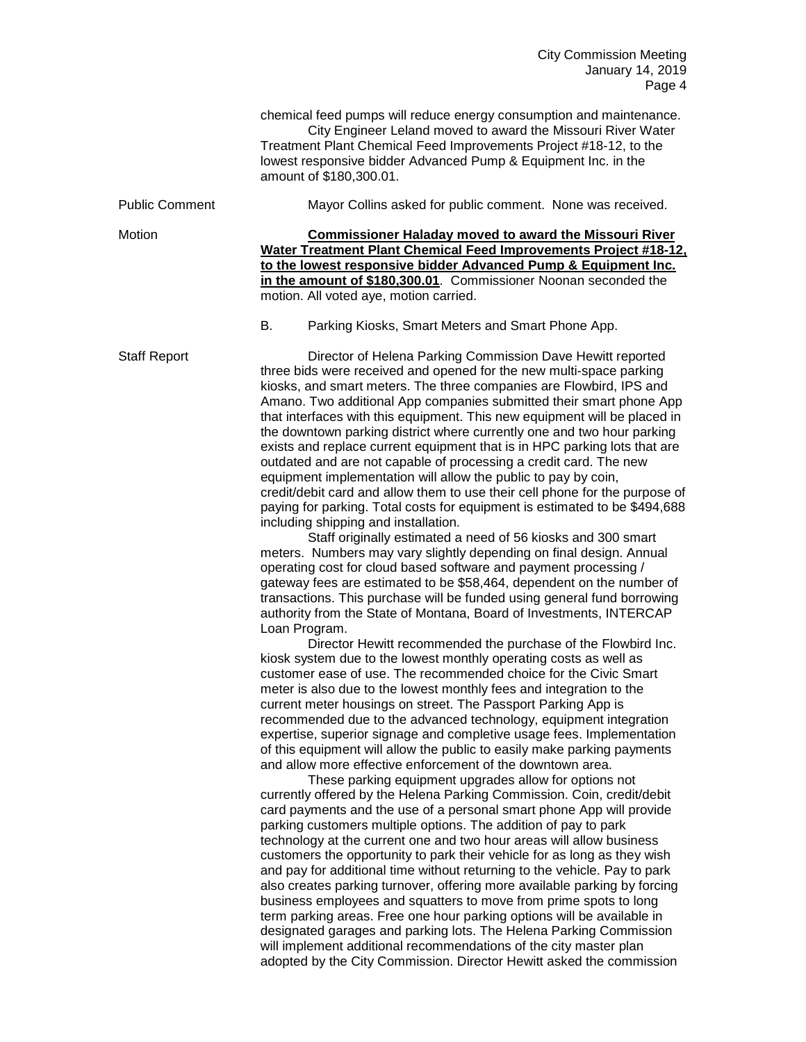chemical feed pumps will reduce energy consumption and maintenance. City Engineer Leland moved to award the Missouri River Water Treatment Plant Chemical Feed Improvements Project #18-12, to the lowest responsive bidder Advanced Pump & Equipment Inc. in the amount of \$180,300.01.

| <b>Public Comment</b> | Mayor Collins asked for public comment. None was received. |  |
|-----------------------|------------------------------------------------------------|--|
|                       |                                                            |  |

Motion **Commissioner Haladay moved to award the Missouri River Water Treatment Plant Chemical Feed Improvements Project #18-12, to the lowest responsive bidder Advanced Pump & Equipment Inc. in the amount of \$180,300.01**. Commissioner Noonan seconded the motion. All voted aye, motion carried.

B. Parking Kiosks, Smart Meters and Smart Phone App.

Staff Report Director of Helena Parking Commission Dave Hewitt reported three bids were received and opened for the new multi-space parking kiosks, and smart meters. The three companies are Flowbird, IPS and Amano. Two additional App companies submitted their smart phone App that interfaces with this equipment. This new equipment will be placed in the downtown parking district where currently one and two hour parking exists and replace current equipment that is in HPC parking lots that are outdated and are not capable of processing a credit card. The new equipment implementation will allow the public to pay by coin, credit/debit card and allow them to use their cell phone for the purpose of paying for parking. Total costs for equipment is estimated to be \$494,688 including shipping and installation.

Staff originally estimated a need of 56 kiosks and 300 smart meters. Numbers may vary slightly depending on final design. Annual operating cost for cloud based software and payment processing / gateway fees are estimated to be \$58,464, dependent on the number of transactions. This purchase will be funded using general fund borrowing authority from the State of Montana, Board of Investments, INTERCAP Loan Program.

Director Hewitt recommended the purchase of the Flowbird Inc. kiosk system due to the lowest monthly operating costs as well as customer ease of use. The recommended choice for the Civic Smart meter is also due to the lowest monthly fees and integration to the current meter housings on street. The Passport Parking App is recommended due to the advanced technology, equipment integration expertise, superior signage and completive usage fees. Implementation of this equipment will allow the public to easily make parking payments and allow more effective enforcement of the downtown area.

These parking equipment upgrades allow for options not currently offered by the Helena Parking Commission. Coin, credit/debit card payments and the use of a personal smart phone App will provide parking customers multiple options. The addition of pay to park technology at the current one and two hour areas will allow business customers the opportunity to park their vehicle for as long as they wish and pay for additional time without returning to the vehicle. Pay to park also creates parking turnover, offering more available parking by forcing business employees and squatters to move from prime spots to long term parking areas. Free one hour parking options will be available in designated garages and parking lots. The Helena Parking Commission will implement additional recommendations of the city master plan adopted by the City Commission. Director Hewitt asked the commission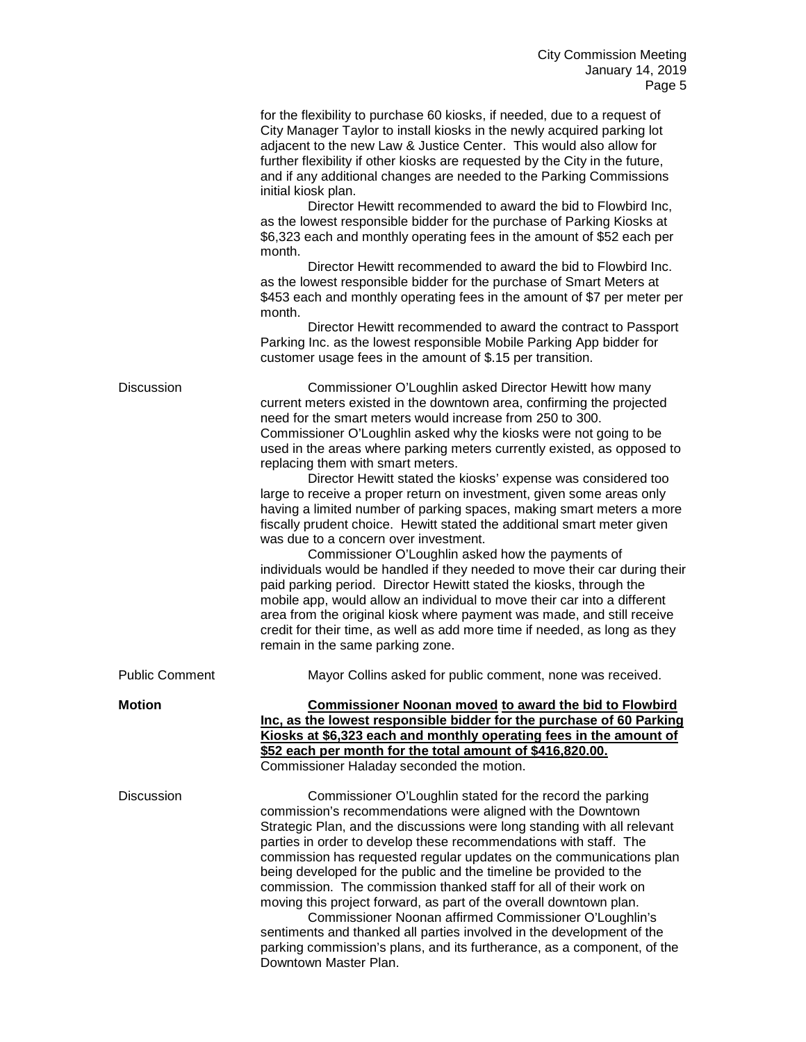|                       | for the flexibility to purchase 60 kiosks, if needed, due to a request of<br>City Manager Taylor to install kiosks in the newly acquired parking lot<br>adjacent to the new Law & Justice Center. This would also allow for<br>further flexibility if other kiosks are requested by the City in the future,<br>and if any additional changes are needed to the Parking Commissions<br>initial kiosk plan.<br>Director Hewitt recommended to award the bid to Flowbird Inc,<br>as the lowest responsible bidder for the purchase of Parking Kiosks at<br>\$6,323 each and monthly operating fees in the amount of \$52 each per<br>month.<br>Director Hewitt recommended to award the bid to Flowbird Inc.<br>as the lowest responsible bidder for the purchase of Smart Meters at<br>\$453 each and monthly operating fees in the amount of \$7 per meter per<br>month.<br>Director Hewitt recommended to award the contract to Passport<br>Parking Inc. as the lowest responsible Mobile Parking App bidder for<br>customer usage fees in the amount of \$.15 per transition.                                                                                                                             |
|-----------------------|------------------------------------------------------------------------------------------------------------------------------------------------------------------------------------------------------------------------------------------------------------------------------------------------------------------------------------------------------------------------------------------------------------------------------------------------------------------------------------------------------------------------------------------------------------------------------------------------------------------------------------------------------------------------------------------------------------------------------------------------------------------------------------------------------------------------------------------------------------------------------------------------------------------------------------------------------------------------------------------------------------------------------------------------------------------------------------------------------------------------------------------------------------------------------------------------------------|
| Discussion            | Commissioner O'Loughlin asked Director Hewitt how many<br>current meters existed in the downtown area, confirming the projected<br>need for the smart meters would increase from 250 to 300.<br>Commissioner O'Loughlin asked why the kiosks were not going to be<br>used in the areas where parking meters currently existed, as opposed to<br>replacing them with smart meters.<br>Director Hewitt stated the kiosks' expense was considered too<br>large to receive a proper return on investment, given some areas only<br>having a limited number of parking spaces, making smart meters a more<br>fiscally prudent choice. Hewitt stated the additional smart meter given<br>was due to a concern over investment.<br>Commissioner O'Loughlin asked how the payments of<br>individuals would be handled if they needed to move their car during their<br>paid parking period. Director Hewitt stated the kiosks, through the<br>mobile app, would allow an individual to move their car into a different<br>area from the original kiosk where payment was made, and still receive<br>credit for their time, as well as add more time if needed, as long as they<br>remain in the same parking zone. |
| <b>Public Comment</b> | Mayor Collins asked for public comment, none was received.                                                                                                                                                                                                                                                                                                                                                                                                                                                                                                                                                                                                                                                                                                                                                                                                                                                                                                                                                                                                                                                                                                                                                 |
| <b>Motion</b>         | <b>Commissioner Noonan moved to award the bid to Flowbird</b><br>Inc, as the lowest responsible bidder for the purchase of 60 Parking<br>Kiosks at \$6,323 each and monthly operating fees in the amount of<br>\$52 each per month for the total amount of \$416,820.00.<br>Commissioner Haladay seconded the motion.                                                                                                                                                                                                                                                                                                                                                                                                                                                                                                                                                                                                                                                                                                                                                                                                                                                                                      |
| <b>Discussion</b>     | Commissioner O'Loughlin stated for the record the parking<br>commission's recommendations were aligned with the Downtown<br>Strategic Plan, and the discussions were long standing with all relevant<br>parties in order to develop these recommendations with staff. The<br>commission has requested regular updates on the communications plan<br>being developed for the public and the timeline be provided to the<br>commission. The commission thanked staff for all of their work on<br>moving this project forward, as part of the overall downtown plan.<br>Commissioner Noonan affirmed Commissioner O'Loughlin's<br>sentiments and thanked all parties involved in the development of the<br>parking commission's plans, and its furtherance, as a component, of the<br>Downtown Master Plan.                                                                                                                                                                                                                                                                                                                                                                                                   |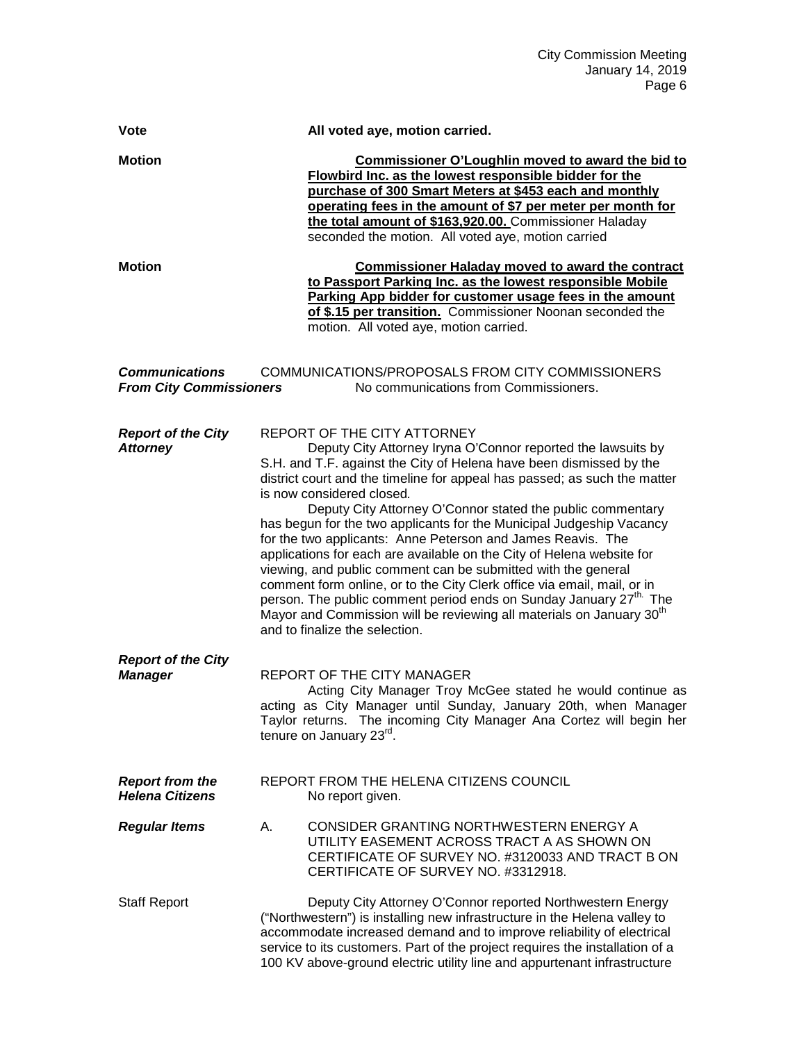| <b>Vote</b>                                                                                                                                          | All voted aye, motion carried.                                                                                                                                                                                                                                                                                                                                                                                                                                                                                                                                                                                                                                                                                                                                                                                                                                                                                 |
|------------------------------------------------------------------------------------------------------------------------------------------------------|----------------------------------------------------------------------------------------------------------------------------------------------------------------------------------------------------------------------------------------------------------------------------------------------------------------------------------------------------------------------------------------------------------------------------------------------------------------------------------------------------------------------------------------------------------------------------------------------------------------------------------------------------------------------------------------------------------------------------------------------------------------------------------------------------------------------------------------------------------------------------------------------------------------|
| <b>Motion</b><br><b>Motion</b>                                                                                                                       | Commissioner O'Loughlin moved to award the bid to<br>Flowbird Inc. as the lowest responsible bidder for the<br>purchase of 300 Smart Meters at \$453 each and monthly<br>operating fees in the amount of \$7 per meter per month for<br>the total amount of \$163,920.00. Commissioner Haladay<br>seconded the motion. All voted aye, motion carried                                                                                                                                                                                                                                                                                                                                                                                                                                                                                                                                                           |
|                                                                                                                                                      | <b>Commissioner Haladay moved to award the contract</b><br>to Passport Parking Inc. as the lowest responsible Mobile<br>Parking App bidder for customer usage fees in the amount<br>of \$.15 per transition. Commissioner Noonan seconded the<br>motion. All voted aye, motion carried.                                                                                                                                                                                                                                                                                                                                                                                                                                                                                                                                                                                                                        |
| COMMUNICATIONS/PROPOSALS FROM CITY COMMISSIONERS<br><b>Communications</b><br><b>From City Commissioners</b><br>No communications from Commissioners. |                                                                                                                                                                                                                                                                                                                                                                                                                                                                                                                                                                                                                                                                                                                                                                                                                                                                                                                |
| <b>Report of the City</b><br><b>Attorney</b>                                                                                                         | REPORT OF THE CITY ATTORNEY<br>Deputy City Attorney Iryna O'Connor reported the lawsuits by<br>S.H. and T.F. against the City of Helena have been dismissed by the<br>district court and the timeline for appeal has passed; as such the matter<br>is now considered closed.<br>Deputy City Attorney O'Connor stated the public commentary<br>has begun for the two applicants for the Municipal Judgeship Vacancy<br>for the two applicants: Anne Peterson and James Reavis. The<br>applications for each are available on the City of Helena website for<br>viewing, and public comment can be submitted with the general<br>comment form online, or to the City Clerk office via email, mail, or in<br>person. The public comment period ends on Sunday January 27 <sup>th.</sup> The<br>Mayor and Commission will be reviewing all materials on January 30 <sup>th</sup><br>and to finalize the selection. |
| <b>Report of the City</b><br><b>Manager</b>                                                                                                          | <b>REPORT OF THE CITY MANAGER</b><br>Acting City Manager Troy McGee stated he would continue as<br>acting as City Manager until Sunday, January 20th, when Manager<br>Taylor returns. The incoming City Manager Ana Cortez will begin her<br>tenure on January 23 <sup>rd</sup> .                                                                                                                                                                                                                                                                                                                                                                                                                                                                                                                                                                                                                              |
| <b>Report from the</b><br><b>Helena Citizens</b>                                                                                                     | REPORT FROM THE HELENA CITIZENS COUNCIL<br>No report given.                                                                                                                                                                                                                                                                                                                                                                                                                                                                                                                                                                                                                                                                                                                                                                                                                                                    |
| <b>Regular Items</b>                                                                                                                                 | CONSIDER GRANTING NORTHWESTERN ENERGY A<br>А.<br>UTILITY EASEMENT ACROSS TRACT A AS SHOWN ON<br>CERTIFICATE OF SURVEY NO. #3120033 AND TRACT B ON<br>CERTIFICATE OF SURVEY NO. #3312918.                                                                                                                                                                                                                                                                                                                                                                                                                                                                                                                                                                                                                                                                                                                       |
| <b>Staff Report</b>                                                                                                                                  | Deputy City Attorney O'Connor reported Northwestern Energy<br>("Northwestern") is installing new infrastructure in the Helena valley to<br>accommodate increased demand and to improve reliability of electrical<br>service to its customers. Part of the project requires the installation of a<br>100 KV above-ground electric utility line and appurtenant infrastructure                                                                                                                                                                                                                                                                                                                                                                                                                                                                                                                                   |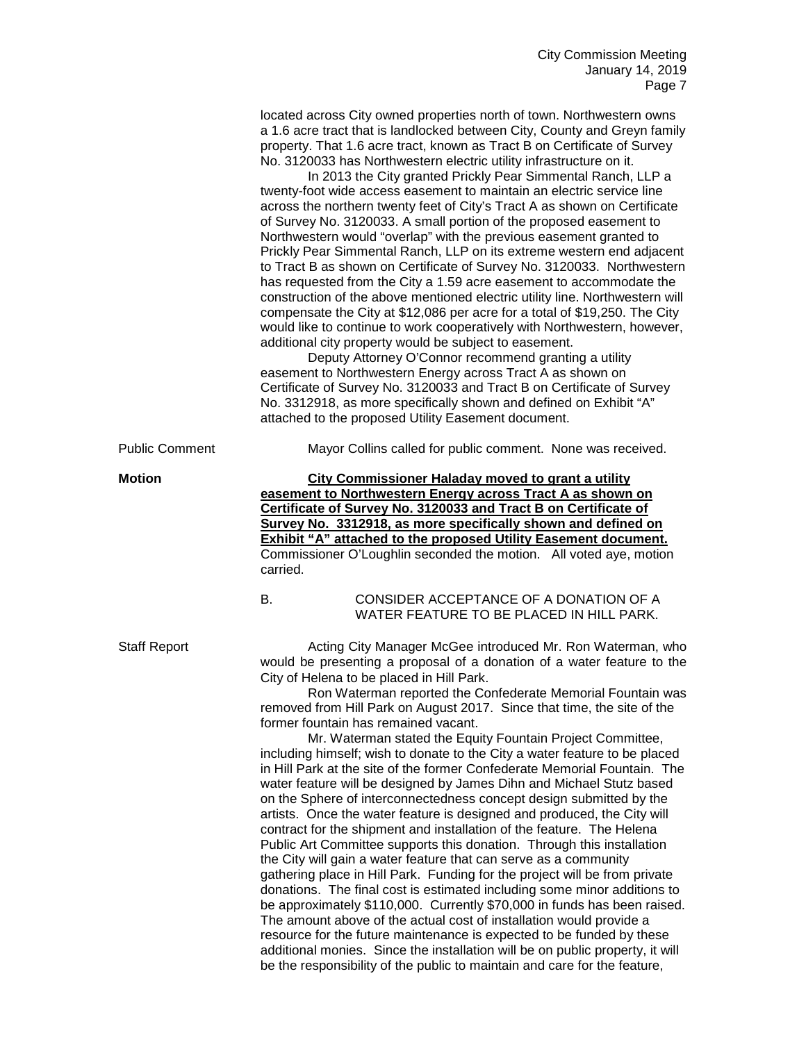located across City owned properties north of town. Northwestern owns a 1.6 acre tract that is landlocked between City, County and Greyn family property. That 1.6 acre tract, known as Tract B on Certificate of Survey No. 3120033 has Northwestern electric utility infrastructure on it.

In 2013 the City granted Prickly Pear Simmental Ranch, LLP a twenty-foot wide access easement to maintain an electric service line across the northern twenty feet of City's Tract A as shown on Certificate of Survey No. 3120033. A small portion of the proposed easement to Northwestern would "overlap" with the previous easement granted to Prickly Pear Simmental Ranch, LLP on its extreme western end adjacent to Tract B as shown on Certificate of Survey No. 3120033. Northwestern has requested from the City a 1.59 acre easement to accommodate the construction of the above mentioned electric utility line. Northwestern will compensate the City at \$12,086 per acre for a total of \$19,250. The City would like to continue to work cooperatively with Northwestern, however, additional city property would be subject to easement.

Deputy Attorney O'Connor recommend granting a utility easement to Northwestern Energy across Tract A as shown on Certificate of Survey No. 3120033 and Tract B on Certificate of Survey No. 3312918, as more specifically shown and defined on Exhibit "A" attached to the proposed Utility Easement document.

Public Comment Mayor Collins called for public comment. None was received.

**Motion City Commissioner Haladay moved to grant a utility easement to Northwestern Energy across Tract A as shown on Certificate of Survey No. 3120033 and Tract B on Certificate of Survey No. 3312918, as more specifically shown and defined on Exhibit "A" attached to the proposed Utility Easement document.**  Commissioner O'Loughlin seconded the motion. All voted aye, motion carried.

> B. CONSIDER ACCEPTANCE OF A DONATION OF A WATER FEATURE TO BE PLACED IN HILL PARK.

Staff Report **Acting City Manager McGee introduced Mr. Ron Waterman, who** Staff Report would be presenting a proposal of a donation of a water feature to the City of Helena to be placed in Hill Park.

> Ron Waterman reported the Confederate Memorial Fountain was removed from Hill Park on August 2017. Since that time, the site of the former fountain has remained vacant.

> Mr. Waterman stated the Equity Fountain Project Committee, including himself; wish to donate to the City a water feature to be placed in Hill Park at the site of the former Confederate Memorial Fountain. The water feature will be designed by James Dihn and Michael Stutz based on the Sphere of interconnectedness concept design submitted by the artists. Once the water feature is designed and produced, the City will contract for the shipment and installation of the feature. The Helena Public Art Committee supports this donation. Through this installation the City will gain a water feature that can serve as a community gathering place in Hill Park. Funding for the project will be from private donations. The final cost is estimated including some minor additions to be approximately \$110,000. Currently \$70,000 in funds has been raised. The amount above of the actual cost of installation would provide a resource for the future maintenance is expected to be funded by these additional monies. Since the installation will be on public property, it will be the responsibility of the public to maintain and care for the feature,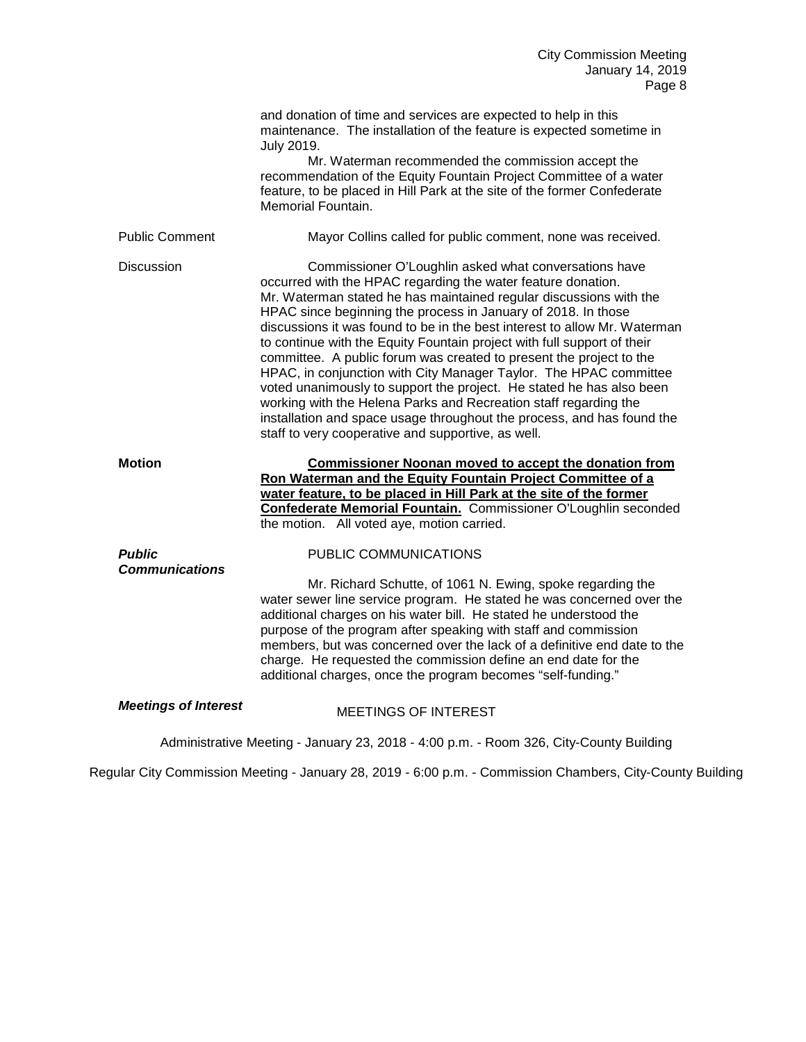|                                                                                        | and donation of time and services are expected to help in this<br>maintenance. The installation of the feature is expected sometime in<br>July 2019.<br>Mr. Waterman recommended the commission accept the<br>recommendation of the Equity Fountain Project Committee of a water<br>feature, to be placed in Hill Park at the site of the former Confederate<br>Memorial Fountain.                                                                                                                                                                                                                                                                                                                                                                                                                                                           |
|----------------------------------------------------------------------------------------|----------------------------------------------------------------------------------------------------------------------------------------------------------------------------------------------------------------------------------------------------------------------------------------------------------------------------------------------------------------------------------------------------------------------------------------------------------------------------------------------------------------------------------------------------------------------------------------------------------------------------------------------------------------------------------------------------------------------------------------------------------------------------------------------------------------------------------------------|
| <b>Public Comment</b>                                                                  | Mayor Collins called for public comment, none was received.                                                                                                                                                                                                                                                                                                                                                                                                                                                                                                                                                                                                                                                                                                                                                                                  |
| <b>Discussion</b>                                                                      | Commissioner O'Loughlin asked what conversations have<br>occurred with the HPAC regarding the water feature donation.<br>Mr. Waterman stated he has maintained regular discussions with the<br>HPAC since beginning the process in January of 2018. In those<br>discussions it was found to be in the best interest to allow Mr. Waterman<br>to continue with the Equity Fountain project with full support of their<br>committee. A public forum was created to present the project to the<br>HPAC, in conjunction with City Manager Taylor. The HPAC committee<br>voted unanimously to support the project. He stated he has also been<br>working with the Helena Parks and Recreation staff regarding the<br>installation and space usage throughout the process, and has found the<br>staff to very cooperative and supportive, as well. |
| <b>Motion</b>                                                                          | <b>Commissioner Noonan moved to accept the donation from</b><br>Ron Waterman and the Equity Fountain Project Committee of a<br>water feature, to be placed in Hill Park at the site of the former<br>Confederate Memorial Fountain. Commissioner O'Loughlin seconded<br>the motion. All voted aye, motion carried.                                                                                                                                                                                                                                                                                                                                                                                                                                                                                                                           |
| <b>Public</b>                                                                          | PUBLIC COMMUNICATIONS                                                                                                                                                                                                                                                                                                                                                                                                                                                                                                                                                                                                                                                                                                                                                                                                                        |
| <b>Communications</b>                                                                  | Mr. Richard Schutte, of 1061 N. Ewing, spoke regarding the<br>water sewer line service program. He stated he was concerned over the<br>additional charges on his water bill. He stated he understood the<br>purpose of the program after speaking with staff and commission<br>members, but was concerned over the lack of a definitive end date to the<br>charge. He requested the commission define an end date for the<br>additional charges, once the program becomes "self-funding."                                                                                                                                                                                                                                                                                                                                                    |
| <b>Meetings of Interest</b>                                                            | <b>MEETINGS OF INTEREST</b>                                                                                                                                                                                                                                                                                                                                                                                                                                                                                                                                                                                                                                                                                                                                                                                                                  |
| Administrative Meeting - January 23, 2018 - 4:00 p.m. - Room 326, City-County Building |                                                                                                                                                                                                                                                                                                                                                                                                                                                                                                                                                                                                                                                                                                                                                                                                                                              |

Regular City Commission Meeting - January 28, 2019 - 6:00 p.m. - Commission Chambers, City-County Building